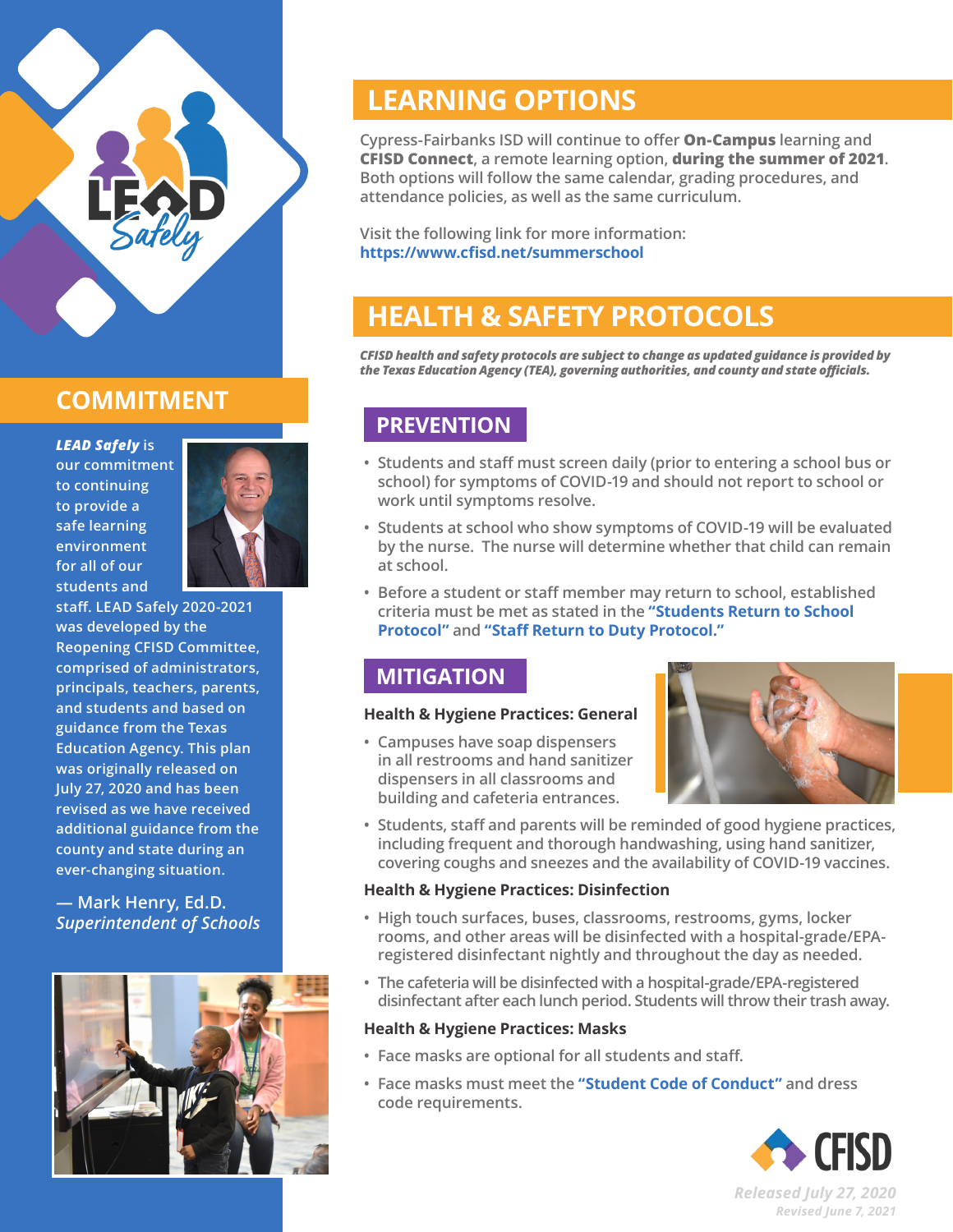

# **COMMITMENT**

*LEAD Safely* **is our commitment to continuing to provide a safe learning environment for all of our students and** 



**staff. LEAD Safely 2020-2021 was developed by the Reopening CFISD Committee, comprised of administrators, principals, teachers, parents, and students and based on guidance from the Texas Education Agency. This plan was originally released on July 27, 2020 and has been revised as we have received additional guidance from the county and state during an ever-changing situation.**

**— Mark Henry, Ed.D.** *Superintendent of Schools*



# **LEARNING OPTIONS**

**Cypress-Fairbanks ISD will continue to offer On-Campus learning and CFISD Connect, a remote learning option, during the summer of 2021. Both options will follow the same calendar, grading procedures, and attendance policies, as well as the same curriculum.** 

**Visit the following link for more information: <https://www.cfisd.net/summerschool>**

# **HEALTH & SAFETY PROTOCOLS**

*CFISD health and safety protocols are subject to change as updated guidance is provided by the Texas Education Agency (TEA), governing authorities, and county and state officials.*

## **PREVENTION**

- **• Students and staff must screen daily (prior to entering a school bus or school) for symptoms of COVID-19 and should not report to school or work until symptoms resolve.**
- **• Students at school who show symptoms of COVID-19 will be evaluated by the nurse. The nurse will determine whether that child can remain at school.**
- **• Before a student or staff member may return to school, established criteria must be met as stated in the ["Students Return to School](https://tx50000664.schoolwires.net/cms/lib/TX50000664/Centricity/Domain/2305/Reopening%20CFISD%20Appendix%20-%20Return%20to%20School%202021%20Update.pdf) [Protocol"](https://tx50000664.schoolwires.net/cms/lib/TX50000664/Centricity/Domain/2305/Reopening%20CFISD%20Appendix%20-%20Return%20to%20School%202021%20Update.pdf) and ["Staff Return to Duty Protocol."](https://tx50000664.schoolwires.net/cms/lib/TX50000664/Centricity/Domain/2305/Reopening%20CFISD%20Appendix%20-%20Return%20to%20Duty%202021%20Update.pdf)**

## **MITIGATION**

#### **Health & Hygiene Practices: General**

**• Campuses have soap dispensers in all restrooms and hand sanitizer dispensers in all classrooms and building and cafeteria entrances.**



**• Students, staff and parents will be reminded of good hygiene practices, including frequent and thorough handwashing, using hand sanitizer, covering coughs and sneezes and the availability of COVID-19 vaccines.**

### **Health & Hygiene Practices: Disinfection**

- **• High touch surfaces, buses, classrooms, restrooms, gyms, locker rooms, and other areas will be disinfected with a hospital-grade/EPAregistered disinfectant nightly and throughout the day as needed.**
- **• The cafeteria will be disinfected with a hospital-grade/EPA-registered disinfectant after each lunch period. Students will throw their trash away.**

#### **Health & Hygiene Practices: Masks**

- **• Face masks are optional for all students and staff.**
- **• Face masks must meet the ["Student Code of Conduct"](http://cfisd.net/Page/1888) and dress code requirements.**



*Released July 27, 2020 Revised June 7, 2021*